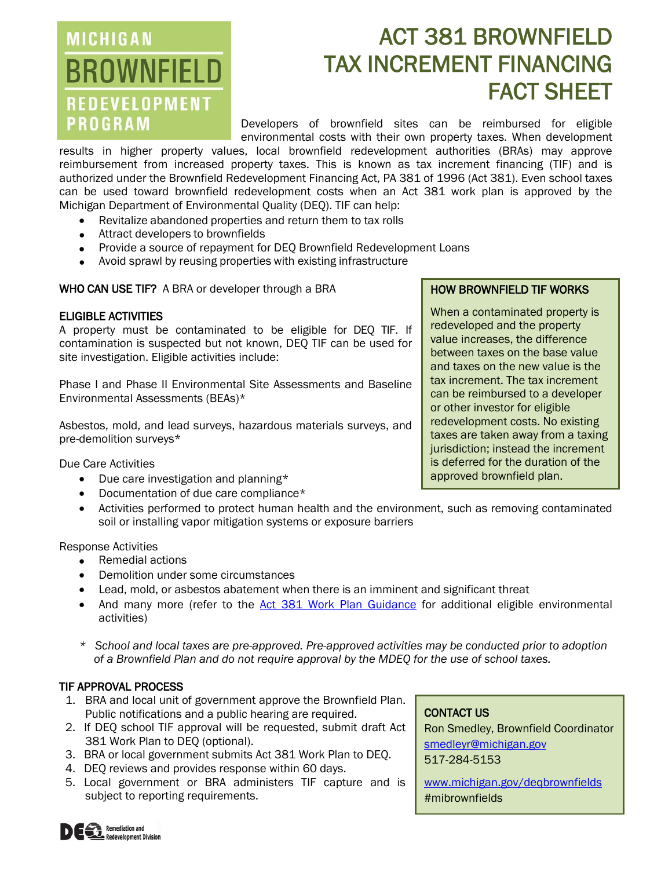### **MICHIGAN BROWNFIELD REDEVELOPMENT PROGRAM**

# ACT 381 BROWNFIELD TAX INCREMENT FINANCING FACT SHEET

Developers of brownfield sites can be reimbursed for eligible environmental costs with their own property taxes. When development

results in higher property values, local brownfield redevelopment authorities (BRAs) may approve reimbursement from increased property taxes. This is known as tax increment financing (TIF) and is authorized under the Brownfield Redevelopment Financing Act, PA 381 of 1996 (Act 381). Even school taxes can be used toward brownfield redevelopment costs when an Act 381 work plan is approved by the Michigan Department of Environmental Quality (DEQ). TIF can help:

- Revitalize abandoned properties and return them to tax rolls
- Attract developers to brownfields
- Provide a source of repayment for DEQ Brownfield Redevelopment Loans
- Avoid sprawl by reusing properties with existing infrastructure

WHO CAN USE TIF? A BRA or developer through a BRA

#### ELIGIBLE ACTIVITIES

A property must be contaminated to be eligible for DEQ TIF. If contamination is suspected but not known, DEQ TIF can be used for site investigation. Eligible activities include:

Phase I and Phase II Environmental Site Assessments and Baseline Environmental Assessments (BEAs)\*

Asbestos, mold, and lead surveys, hazardous materials surveys, and pre-demolition surveys\*

Due Care Activities

- Due care investigation and planning\*
- Documentation of due care compliance\*
- Activities performed to protect human health and the environment, such as removing contaminated soil or installing vapor mitigation systems or exposure barriers

Response Activities

- Remedial actions
- Demolition under some circumstances
- Lead, mold, or asbestos abatement when there is an imminent and significant threat
- And many more (refer to the [Act 381 Work Plan Guidance](http://www.michiganbusiness.org/cm/Files/Brownfields/Act-381-Guidance.pdf) for additional eligible environmental activities)
- *\* School and local taxes are pre-approved. Pre-approved activities may be conducted prior to adoption of a Brownfield Plan and do not require approval by the MDEQ for the use of school taxes.*

#### TIF APPROVAL PROCESS

- 1. BRA and local unit of government approve the Brownfield Plan. Public notifications and a public hearing are required.
- 2. If DEQ school TIF approval will be requested, submit draft Act 381 Work Plan to DEQ (optional).
- 3. BRA or local government submits Act 381 Work Plan to DEQ.
- 4. DEQ reviews and provides response within 60 days.
- 5. Local government or BRA administers TIF capture and is subject to reporting requirements.

#### CONTACT US

Ron Smedley, Brownfield Coordinator [smedleyr@michigan.gov](mailto:smedleyr@michigan.gov) 517-284-5153

[www.michigan.gov/deqbrownfields](http://www.michigan.gov/deqbrownfields) #mibrownfields

### HOW BROWNFIELD TIF WORKS

When a contaminated property is redeveloped and the property value increases, the difference between taxes on the base value and taxes on the new value is the tax increment. The tax increment can be reimbursed to a developer or other investor for eligible redevelopment costs. No existing taxes are taken away from a taxing jurisdiction; instead the increment is deferred for the duration of the approved brownfield plan.